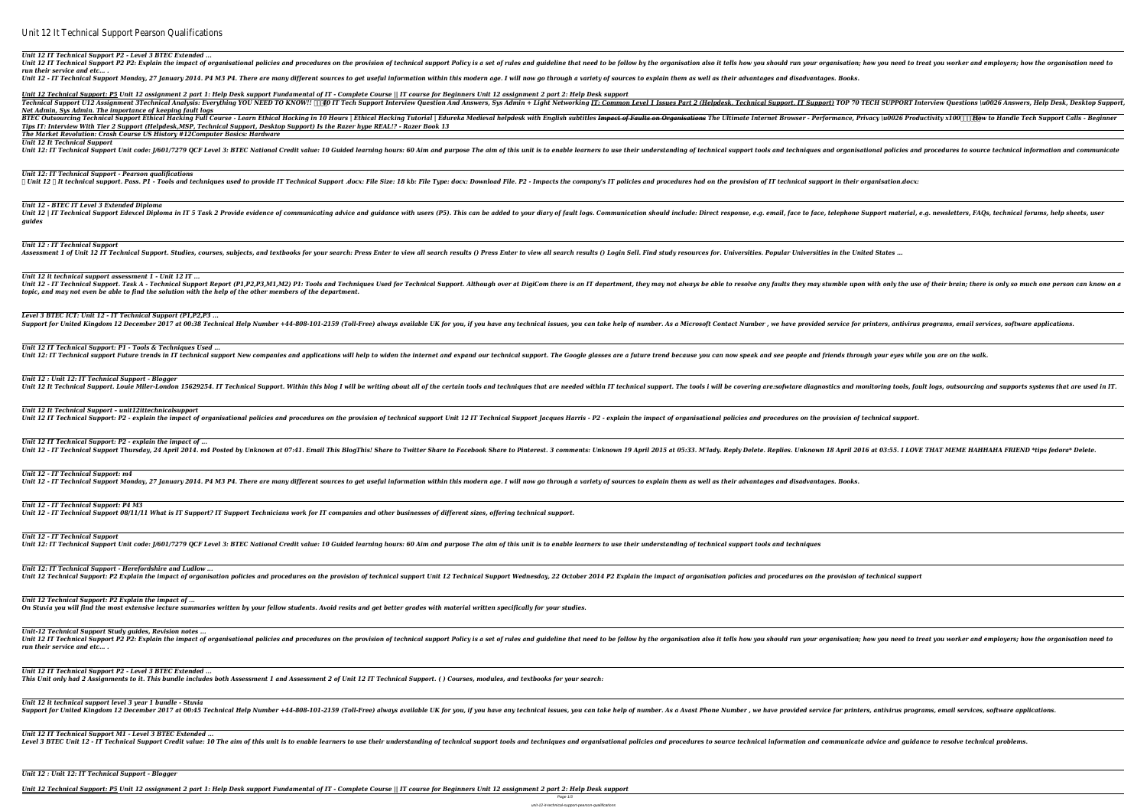*Unit 12 IT Technical Support P2 - Level 3 BTEC Extended ...*

Unit 12 IT Technical Support P2 P2: Explain the impact of organisational policies and procedures on the provision of technical support Policy is a set of rules and auideline that need to be follow by the organisation; how *run their service and etc… .* Unit 12 - IT Technical Support Monday, 27 January 2014. P4 M3 P4. There are many different sources to get useful information within this modern age. I will now go through a variety of sources to explain them as well as the

*Unit 12 Technical Support: P5 Unit 12 assignment 2 part 1: Help Desk support Fundamental of IT - Complete Course || IT course for Beginners Unit 12 assignment 2 part 2: Help Desk support* Technical Support U12 Assianment 3Technical Analysis: Everythina YOU NEED TO KNOW!! [][[40 IT Tech Support Interview Ouestion And Answers, Sys Admin + Light Networkina IT: Common Level 1 Issues Part 2 (Helpdesk, Technical *Net Admin, Sys Admin. The importance of keeping fault logs* BTEC Outsourcing Technical Support Ethical Hacking Full Course - Learn Ethical Hacking in 10 Hours | Ethical Hacking Tutorial | Edureka Medieval helpdesk with English subtitles I<del>mpact of Faults on Organisations</del> The Ulti

*Unit 12: IT Technical Support - Pearson qualifications*  $\sqcap$  Unit 12  $\sqcap$  It technical support. Pass. P1 - Tools and techniques used to provide IT Technical Support .docx: File Size: 18 kb: File Type: docx: Download File. P2 - Impacts the company's IT policies and procedures

Unit 12 | IT Technical Support Edexcel Diploma in IT 5 Task 2 Provide evidence of communicating advice and guidance with users (P5). This can be added to your diary of fault logs. Communication should include: Direct respo *guides*

*Tips IT: Interview With Tier 2 Support (Helpdesk,MSP, Technical Support, Desktop Support) Is the Razer hype REAL!? - Razer Book 13 The Market Revolution: Crash Course US History #12Computer Basics: Hardware Unit 12 It Technical Support*

Unit 12: IT Technical Support Unit code: J/601/7279 QCF Level 3: BTEC National Credit value: 10 Guided learning hours: 60 Aim and purpose The aim of this unit is to enable learning hours: 60 Aim and purpose The aim of this

*Level 3 BTEC ICT: Unit 12 - IT Technical Support (P1,P2,P3 ...* Support for United Kingdom 12 December 2017 at 00:38 Technical Help Number +44-808-101-2159 (Toll-Free) always available UK for you, if you have any technical issues, you can take help of number . we have provided service

*Unit 12 IT Technical Support: P1 - Tools & Techniques Used ...* Unit 12: IT Technical support Future trends in IT technical support New companies and applications will help to widen the internet and expand our technical support. The Google glasses are a future trend because you can now

*Unit 12 : Unit 12: IT Technical Support - Blogger* Unit 12 It Technical Support. Louie Miler-London 15629254. IT Technical Support. Within this bloa I will be writing about all of the certain tools and monitoring tools, fault loas, outsourcing and supports systems that are

*Unit 12 It Technical Support – unit12ittechnicalsupport* Unit 12 IT Technical Support: P2 - explain the impact of organisational policies and procedures on the provision of technical support Jacques Harris - P2 - explain the impact of organisational policies and procedures on th

*Unit 12 - BTEC IT Level 3 Extended Diploma*

*Unit 12 IT Technical Support: P2 - explain the impact of ...* Unit 12 - IT Technical Support Thursday. 24 April 2014. m4 Posted by Unknown at 07:41. Email This BloaThis! Share to Fucebook Share to Pinterest. 3 comments: Unknown 19 April 2015 at 05:33. M'lady. Reply Delete. Replies. U

*Unit 12 - IT Technical Support: m4* Unit 12 - IT Technical Support Monday, 27 January 2014. P4 M3 P4. There are many different sources to get useful information within this modern age. I will now go through a variety of sources to explain them as well as the

*Unit 12 : IT Technical Support*

Assessment 1 of Unit 12 IT Technical Support. Studies, courses, subjects, and textbooks for your search: Press Enter to view all search results () Login Sell. Find study resources for. Universities. Popular Universities in

*Unit 12 - IT Technical Support* Unit 12: IT Technical Support Unit code: J/601/7279 QCF Level 3: BTEC National Credit value: 10 Guided learning hours: 60 Aim and purpose The aim of this unit is to enable learners to use their understanding of technical s

*Unit 12: IT Technical Support - Herefordshire and Ludlow ...* Unit 12 Technical Support: P2 Explain the impact of organisation policies and procedures on the provision of technical support Wednesday, 22 October 2014 P2 Explain the impact of organisation policies and procedures on the

*Unit 12 it technical support assessment 1 - Unit 12 IT ...* Unit 12 - IT Technical Support. Task A - Technical Support Report (P1,P2,P3,M1,M2) P1: Tools and Techniques Used for Technical Support. Although over at DigiCom there is an IT department, they may stumble upon with only th *topic, and may not even be able to find the solution with the help of the other members of the department.*

*Unit 12 it technical support level 3 year 1 bundle - Stuvia* Support for United Kingdom 12 December 2017 at 00:45 Technical Help Number +44-808-101-2159 (Toll-Free) always available UK for you, if you have any technical issues, you can take help of number. As a Avast Phone Number, w

*Unit 12 IT Technical Support M1 - Level 3 BTEC Extended ...* Level 3 BTEC Unit 12 - IT Technical Support Credit value: 10 The aim of this unit is to enable learners to use their understanding of technical support tools and procedures to source technical information and communicate a

*Unit 12 Technical Support: P5 Unit 12 assignment 2 part 1: Help Desk support Fundamental of IT - Complete Course || IT course for Beginners Unit 12 assignment 2 part 2: Help Desk support* Page 1/3

*Unit 12 - IT Technical Support: P4 M3 Unit 12 - IT Technical Support 08/11/11 What is IT Support? IT Support Technicians work for IT companies and other businesses of different sizes, offering technical support.*

*Unit 12 Technical Support: P2 Explain the impact of ... On Stuvia you will find the most extensive lecture summaries written by your fellow students. Avoid resits and get better grades with material written specifically for your studies.*

*Unit-12 Technical Support Study guides, Revision notes ...* Unit 12 IT Technical Support P2 P2: Explain the impact of organisational policies and procedures on the provision of technical support Policy is a set of rules and quideline that need to be follow by the organisation; how *run their service and etc… .*

*Unit 12 IT Technical Support P2 - Level 3 BTEC Extended ... This Unit only had 2 Assignments to it. This bundle includes both Assessment 1 and Assessment 2 of Unit 12 IT Technical Support. ( ) Courses, modules, and textbooks for your search:*

*Unit 12 : Unit 12: IT Technical Support - Blogger*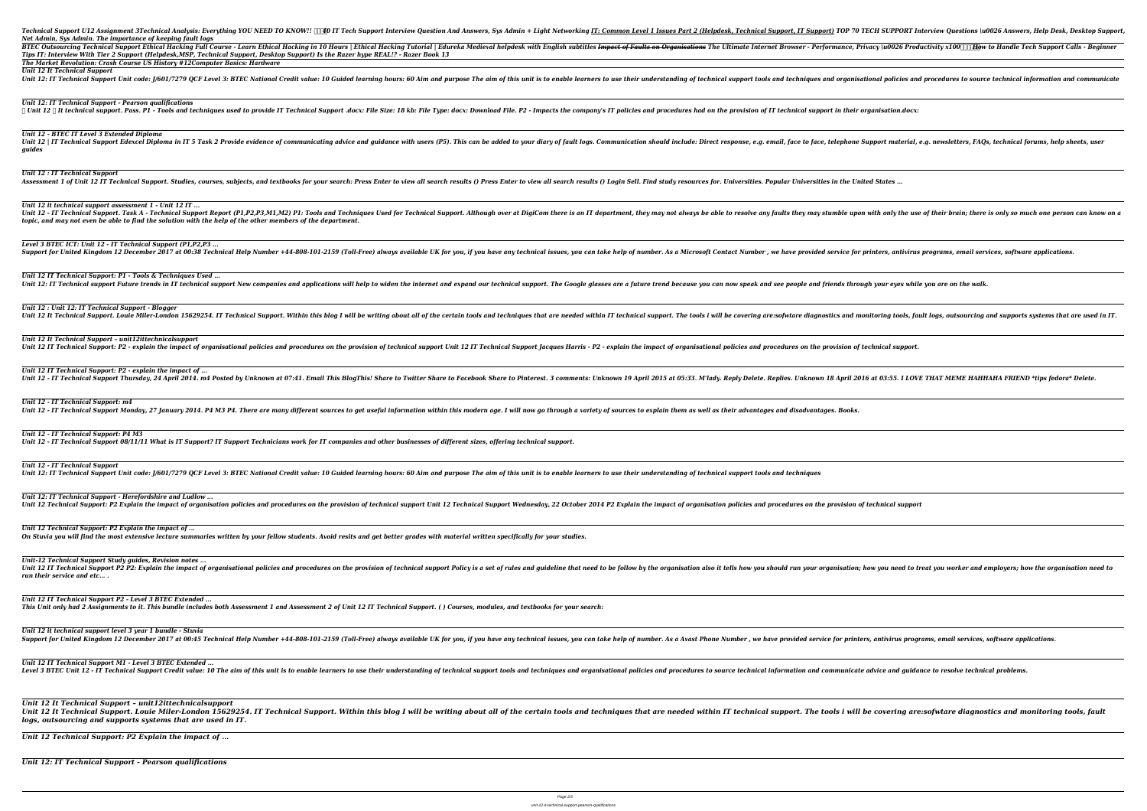Technical Support U12 Assignment 3Technical Analysis: Everything YOU NEED TO KNOW!! [][[40 IT Tech Support Interview Question And Answers, Sys Admin + Light Networking <u>IT: Common Level 1 Issues Part 2 (Helpdesk, Technical</u> *Net Admin, Sys Admin. The importance of keeping fault logs* BTEC Outsourcing Technical Support Ethical Hacking Full Course - Learn Ethical Hacking in 10 Hours | Ethical Hacking Tutorial | Edureka Medieval helpdesk with English subtitles I<del>mpact of Faults on Organisations</del> The Ultim *Tips IT: Interview With Tier 2 Support (Helpdesk,MSP, Technical Support, Desktop Support) Is the Razer hype REAL!? - Razer Book 13*

*Unit 12: IT Technical Support - Pearson qualifications*  $\sqcap$  Unit 12  $\sqcap$  It technical support. Pass. P1 - Tools and techniques used to provide IT Technical Support .docx: File Size: 18 kb: File Type: docx: Download File. P2 - Impacts the company's IT policies and procedures

*The Market Revolution: Crash Course US History #12Computer Basics: Hardware Unit 12 It Technical Support*

Unit 12: IT Technical Support Unit code: J/601/7279 QCF Level 3: BTEC National Credit value: 10 Guided learning hours: 60 Aim and purpose The aim of this unit is to enable learning hours: 60 Aim and purpose The aim of this

*Level 3 BTEC ICT: Unit 12 - IT Technical Support (P1,P2,P3 ...* Support for United Kingdom 12 December 2017 at 00:38 Technical Help Number +44-808-101-2159 (Toll-Free) always available UK for you, if you have any technical issues, you can take help of number. As a Microsoft Contact Num

*Unit 12 IT Technical Support: P1 - Tools & Techniques Used ...* Unit 12: IT Technical support Future trends in IT technical support New companies and applications will help to widen the internet and expand our technical support. The Google glasses are a future trend because you can now

*Unit 12 : Unit 12: IT Technical Support - Blogger* Unit 12 It Technical Support. Louie Miler-London 15629254. IT Technical Support. Within this blog I will be writing about all of the certain tools and monitoring tools, fault logs, outsourcing and supports systems that are

*Unit 12 - BTEC IT Level 3 Extended Diploma* Unit 12 | IT Technical Support Edexcel Diploma in IT 5 Task 2 Provide evidence of communicating advice and guidance with users (P5). This can be added to your diary of fault logs. Communication should include: Direct respo *guides*

*Unit 12 It Technical Support – unit12ittechnicalsupport* Unit 12 IT Technical Support: P2 - explain the impact of organisational policies and procedures on the provision of technical support Jacques Harris - P2 - explain the impact of organisational policies and procedures on th

*Unit 12 : IT Technical Support*

Assessment 1 of Unit 12 IT Technical Support. Studies, courses, subjects, and textbooks for your search: Press Enter to view all search results () Login Sell. Find study resources for. Universities. Popular Universities in

*Unit 12 IT Technical Support: P2 - explain the impact of ...* Unit 12 - IT Technical Support Thursday, 24 April 2014. m4 Posted by Unknown at 07:41. Email This BlogThis! Share to Fucebook Share to Pinterest. 3 comments: Unknown 19 April 2015 at 05:33. M'lady. Reply Delete. Replies. U

*Unit 12 it technical support assessment 1 - Unit 12 IT ...* Unit 12 - IT Technical Support. Task A - Technical Support Report (P1,P2,P3,M1,M2) P1: Tools and Techniques Used for Technical Support. Although over at DigiCom there is an IT department, they may stumble upon with only th *topic, and may not even be able to find the solution with the help of the other members of the department.*

*Unit 12 - IT Technical Support* Unit 12: IT Technical Support Unit code: J/601/7279 QCF Level 3: BTEC National Credit value: 10 Guided learning hours: 60 Aim and purpose The aim of this unit is to enable learners to use their understanding of technical s

*Unit 12: IT Technical Support - Herefordshire and Ludlow ...* Unit 12 Technical Support: P2 Explain the impact of organisation policies and procedures on the provision of technical support Wednesday, 22 October 2014 P2 Explain the impact of organisation policies and procedures on the

*Unit 12 it technical support level 3 year 1 bundle - Stuvia* Support for United Kingdom 12 December 2017 at 00:45 Technical Help Number +44-808-101-2159 (Toll-Free) always available UK for you, if you have any technical issues, you can take help of number. As a Avast Phone Number, w

*Unit 12 IT Technical Support M1 - Level 3 BTEC Extended ...* Level 3 BTEC Unit 12 - IT Technical Support Credit value: 10 The aim of this unit is to enable learners to use their understanding of technical support tools and procedures to source technical information and communicate a

*Unit 12 - IT Technical Support: m4*

Unit 12 - IT Technical Support Monday, 27 January 2014. P4 M3 P4. There are many different sources to get useful information within this modern age. I will now go through a variety of sources to explain them as well as the

*Unit 12 - IT Technical Support: P4 M3 Unit 12 - IT Technical Support 08/11/11 What is IT Support? IT Support Technicians work for IT companies and other businesses of different sizes, offering technical support.*

*Unit 12 Technical Support: P2 Explain the impact of ... On Stuvia you will find the most extensive lecture summaries written by your fellow students. Avoid resits and get better grades with material written specifically for your studies.*

*Unit-12 Technical Support Study guides, Revision notes ...* Unit 12 IT Technical Support P2 P2: Explain the impact of organisational policies and procedures on the provision of technical support Policy is a set of rules and guideline that need to be follow by the organisation; how *run their service and etc… .*

*Unit 12 IT Technical Support P2 - Level 3 BTEC Extended ... This Unit only had 2 Assignments to it. This bundle includes both Assessment 1 and Assessment 2 of Unit 12 IT Technical Support. ( ) Courses, modules, and textbooks for your search:*

*Unit 12 It Technical Support – unit12ittechnicalsupport* Unit 12 It Technical Support. Louie Miler-London 15629254. IT Technical Support. Within this blog I will be writing about all of the certain tools and techniques that are needed within IT technical support. The tools i wil *logs, outsourcing and supports systems that are used in IT.*

*Unit 12 Technical Support: P2 Explain the impact of ...*

*Unit 12: IT Technical Support - Pearson qualifications*